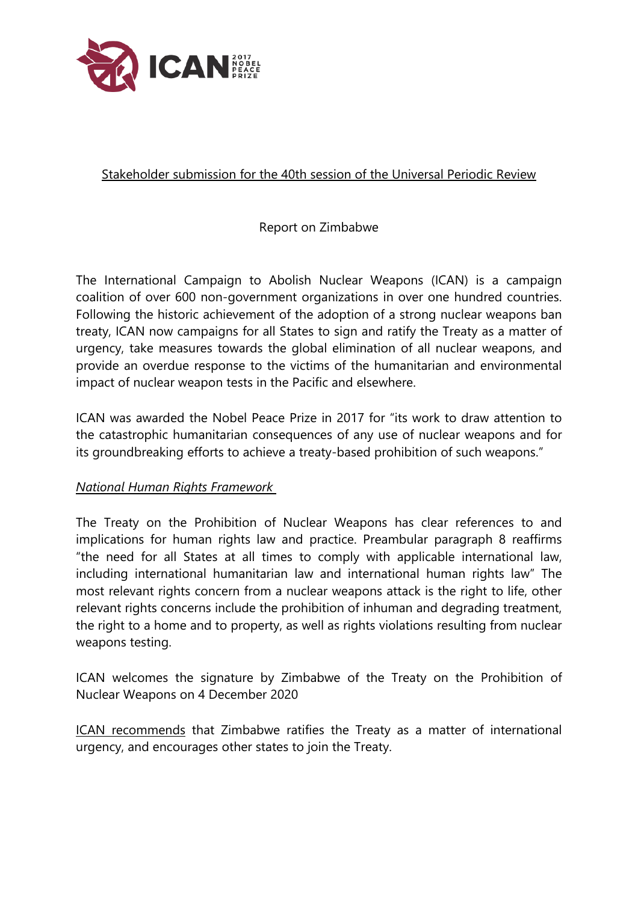

## Stakeholder submission for the 40th session of the Universal Periodic Review

## Report on Zimbabwe

The International Campaign to Abolish Nuclear Weapons (ICAN) is <sup>a</sup> campaign coalition of over 600 non-governmen<sup>t</sup> organizations in over one hundred countries. Following the historic achievement of the adoption of <sup>a</sup> strong nuclear weapons ban treaty, ICAN now campaigns for all States to sign and ratify the Treaty as <sup>a</sup> matter of urgency, take measures towards the global elimination of all nuclear weapons, and provide an overdue response to the victims of the humanitarian and environmental impact of nuclear weapon tests in the Pacific and elsewhere.

ICAN was awarded the Nobel Peace Prize in 2017 for "its work to draw attention to the catastrophic humanitarian consequences of any use of nuclear weapons and for its groundbreaking efforts to achieve <sup>a</sup> treaty-based prohibition of such weapons."

## *National Human Rights Framework*

The Treaty on the Prohibition of Nuclear Weapons has clear references to and implications for human rights law and practice. Preambular paragraph 8 reaffirms "the need for all States at all times to comply with applicable international law, including international humanitarian law and international human rights law" The most relevant rights concern from <sup>a</sup> nuclear weapons attack is the right to life, other relevant rights concerns include the prohibition of inhuman and degrading treatment, the right to <sup>a</sup> home and to property, as well as rights violations resulting from nuclear weapons testing.

ICAN welcomes the signature by Zimbabwe of the Treaty on the Prohibition of Nuclear Weapons on 4 December 2020

ICAN recommends that Zimbabwe ratifies the Treaty as <sup>a</sup> matter of international urgency, and encourages other states to join the Treaty.